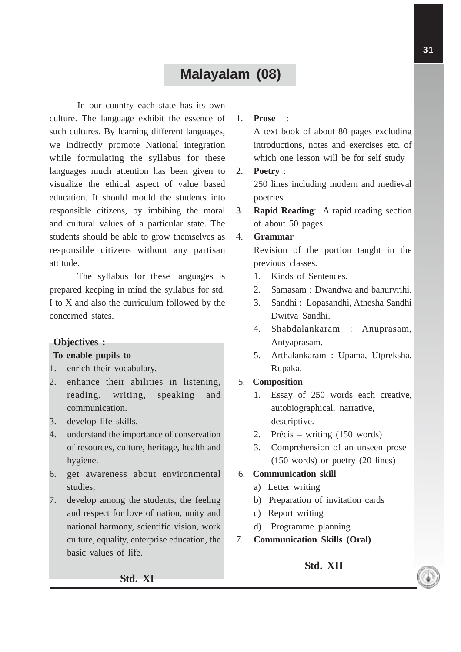# **Malayalam (08)**

In our country each state has its own culture. The language exhibit the essence of such cultures. By learning different languages, we indirectly promote National integration while formulating the syllabus for these languages much attention has been given to visualize the ethical aspect of value based education. It should mould the students into responsible citizens, by imbibing the moral and cultural values of a particular state. The students should be able to grow themselves as responsible citizens without any partisan attitude.

The syllabus for these languages is prepared keeping in mind the syllabus for std. I to X and also the curriculum followed by the concerned states.

## **Objectives :**

#### **To enable pupils to –**

- 1. enrich their vocabulary.
- 2. enhance their abilities in listening, reading, writing, speaking and communication.
- 3. develop life skills.
- 4. understand the importance of conservation of resources, culture, heritage, health and hygiene.
- 6. get awareness about environmental studies,
- 7. develop among the students, the feeling and respect for love of nation, unity and national harmony, scientific vision, work culture, equality, enterprise education, the basic values of life.

## 1. **Prose** :

A text book of about 80 pages excluding introductions, notes and exercises etc. of which one lesson will be for self study

### 2. **Poetry** :

250 lines including modern and medieval poetries.

3. **Rapid Reading**: A rapid reading section of about 50 pages.

## 4. **Grammar**

Revision of the portion taught in the previous classes.

- 1. Kinds of Sentences.
- 2. Samasam : Dwandwa and bahurvrihi.
- 3. Sandhi : Lopasandhi, Athesha Sandhi Dwitva Sandhi.
- 4. Shabdalankaram : Anuprasam, Antyaprasam.
- 5. Arthalankaram : Upama, Utpreksha, Rupaka.

## 5. **Composition**

- 1. Essay of 250 words each creative, autobiographical, narrative, descriptive.
- 2. Précis writing (150 words)
- 3. Comprehension of an unseen prose (150 words) or poetry (20 lines)

### 6. **Communication skill**

- a) Letter writing
- b) Preparation of invitation cards
- c) Report writing
- d) Programme planning
- 7. **Communication Skills (Oral)**

## **Std. XII**